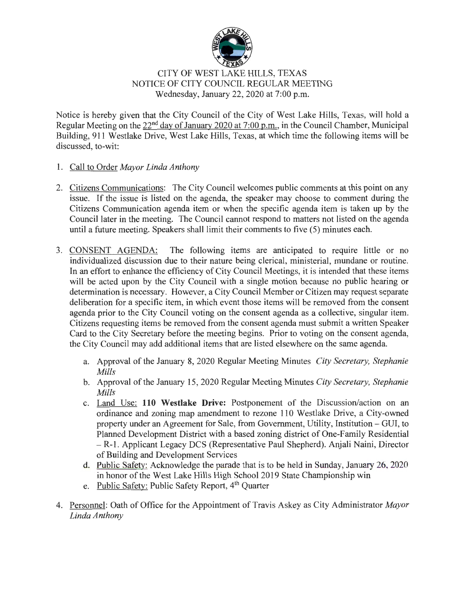

## CITY OF WEST LAKE HILLS, TEXAS NOTICE OF CITY COUNCIL REGULAR MEETING Wednesday, January 22, 2020 at  $7:00$  p.m.

Notice is hereby given that the City Council of the City of West Lake Hills, Texas, will hold a Regular Meeting on the 22<sup>nd</sup> day of January 2020 at 7:00 p.m., in the Council Chamber, Municipal Building, 911 Westlake Drive, West Lake Hills, Texas, at which time the following items will be discussed, to-wit:

- 1. Call to Order *Mayor Linda Anthony*
- 2. Citizens Communications: The City Council welcomes public comments at this point on any issue. If the issue is listed on the agenda, the speaker may choose to comment during the Citizens Communication agenda item or when the specific agenda item is taken up by the Council later in the meeting. The Council cannot respond to matters not listed on the agenda until a future meeting. Speakers shall limit their comments to five (5) minutes each.
- 3. CONSENT AGENDA: The following items are anticipated to require little or no individualized discussion due to their nature being clerical, ministerial, mundane or routine. In an effort to enhance the efficiency of City Council Meetings, it is intended that these items will be acted upon by the City Council with a single motion because no public hearing or determination is necessary. However, a City Council Member or Citizen may request separate deliberation for a specific item, in which event those items will be removed from the consent agenda prior to the City Council voting on the consent agenda as a collective, singular item. Citizens requesting items be removed from the consent agenda must submit a written Speaker Card to the City Secretary before the meeting begins. Prior to voting on the consent agenda, the City Council may add additional items that are listed elsewhere on the same agenda.
	- a. Approval of the January 8, 2020 Regular Meeting Minutes *City Secretary, Stephanie Mills*
	- b. Approval of the January 15, 2020 Regular Meeting Minutes *City Secretary, Stephanie Mills*
	- c. Land Use: **110 Westlake Drive:** Postponement of the Discussion/action on an ordinance and zoning map amendment to rezone 110 Westlake Drive, a City-owned property under an Agreement for Sale, from Government, Utility, Institution - GUI, to Planned Development District with a based zoning district of One-Family Residential - R-1. Applicant Legacy DCS (Representative Paul Shepherd). Anjali Naini, Director of Building and Development Services
	- d. Public Safety: Acknowledge the parade that is to be held in Sunday, January 26, 2020 in honor of the West Lake Hills High School 2019 State Championship win
	- e. Public Safety: Public Safety Report, 4<sup>th</sup> Quarter
- 4. Personnel: Oath of Office for the Appointment of Travis Askey as City Administrator *Mayor Linda Anthony*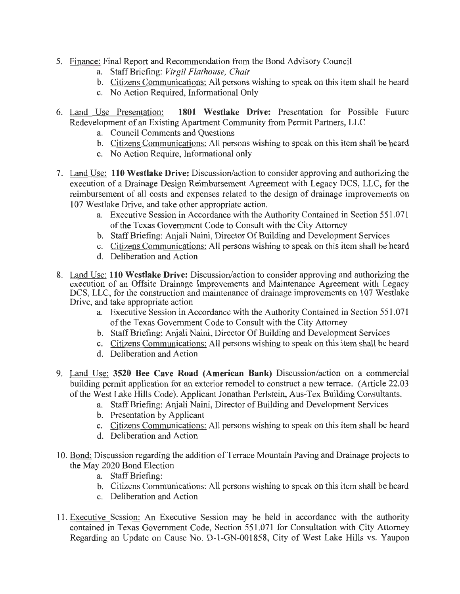- 5. Finance: Final Report and Recommendation from the Bond Advisory Council
	- a. Staff Briefing: *Virgil Flathouse*, *Chair*
	- b. Citizens Communications: All persons wishing to speak on this item shall be heard
	- c. No Action Required, Informational Only
- 6. Land Use Presentation: **1801 Westlake Drive:** Presentation for Possible Future Redevelopment of an Existing Apartment Community from Permit Partners, LLC
	- a. Council Comments and Questions
	- b. Citizens Communications: All persons wishing to speak on this item shall be heard
	- c. No Action Require, Informational only
- 7. Land Use: **110 Westlake Drive:** Discussion/action to consider approving and authorizing the execution of a Drainage Design Reimbursement Agreement with Legacy DCS, LLC, for the reimbursement of all costs and expenses related to the design of drainage improvements on 107 Westlake Drive, and take other appropriate action.
	- a. Executive Session in Accordance with the Authority Contained in Section 551.071 of the Texas Government Code to Consult with the City Attorney
	- b. Staff Briefmg: Anjali Naini, Director Of Building and Development Services
	- c. Citizens Communications: All persons wishing to speak on this item shall be heard
	- d. Deliberation and Action
- 8. Land Use: **110 Westlake Drive:** Discussion/action to consider approving and authorizing the execution of an Offsite Drainage Improvements and Maintenance Agreement with Legacy DCS, LLC, for the construction and maintenance of drainage improvements on 107 Westlake Drive, and take appropriate action
	- a. Executive Session in Accordance with the Authority Contained in Section 551.071 of the Texas Government Code to Consult with the City Attorney
	- b. Staff Briefing: Anjali Naini, Director Of Building and Development Services
	- c. Citizens Communications: All persons wishing to speak on this item shall be heard
	- d. Deliberation and Action
- 9. Land Use: **3520 Bee Cave Road (American Bank)** Discussion/action on a commercial building permit application for an exterior remodel to construct a new terrace. (Article 22.03 ofthe West Lake Hills Code). Applicant Jonathan Perlstein, Aus-Tex Building Consultants.
	- a. StaffBriefing: Anjali Naini, Director of Building and Development Services
	- b. Presentation by Applicant
	- c. Citizens Communications: All persons wishing to speak on this item shall be heard
	- d. Deliberation and Action
- 10. Bond: Discussion regarding the addition of Terrace Mountain Paving and Drainage projects to the May 2020 Bond Election
	- a. Staff Briefing:
	- b. Citizens Communications: All persons wishing to speak on this item shall be heard
	- c. Deliberation and Action
- 11. Executive Session: An Executive Session may be held in accordance with the authority contained in Texas Government Code, Section 551.071 for Consultation with City Attorney Regarding an Update on Cause No. D-1-GN-001858, City of West Lake Hills vs. Yaupon